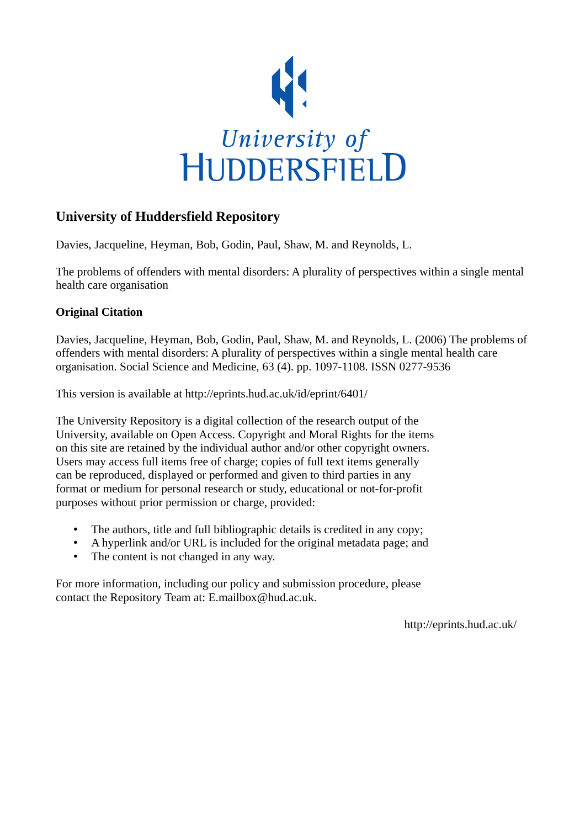

# **University of Huddersfield Repository**

Davies, Jacqueline, Heyman, Bob, Godin, Paul, Shaw, M. and Reynolds, L.

The problems of offenders with mental disorders: A plurality of perspectives within a single mental health care organisation

## **Original Citation**

Davies, Jacqueline, Heyman, Bob, Godin, Paul, Shaw, M. and Reynolds, L. (2006) The problems of offenders with mental disorders: A plurality of perspectives within a single mental health care organisation. Social Science and Medicine, 63 (4). pp. 1097-1108. ISSN 0277-9536

This version is available at http://eprints.hud.ac.uk/id/eprint/6401/

The University Repository is a digital collection of the research output of the University, available on Open Access. Copyright and Moral Rights for the items on this site are retained by the individual author and/or other copyright owners. Users may access full items free of charge; copies of full text items generally can be reproduced, displayed or performed and given to third parties in any format or medium for personal research or study, educational or not-for-profit purposes without prior permission or charge, provided:

- The authors, title and full bibliographic details is credited in any copy;
- A hyperlink and/or URL is included for the original metadata page; and
- The content is not changed in any way.

For more information, including our policy and submission procedure, please contact the Repository Team at: E.mailbox@hud.ac.uk.

http://eprints.hud.ac.uk/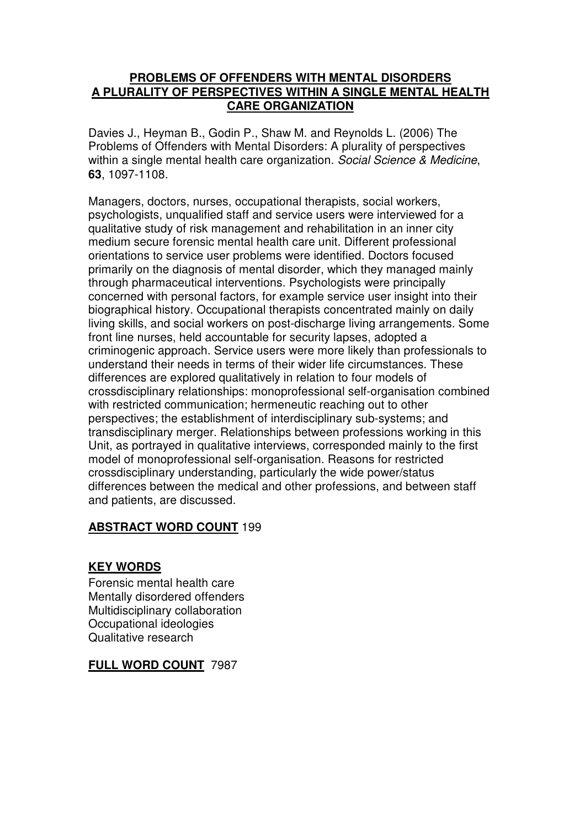## **PROBLEMS OF OFFENDERS WITH MENTAL DISORDERS A PLURALITY OF PERSPECTIVES WITHIN A SINGLE MENTAL HEALTH CARE ORGANIZATION**

Davies J., Heyman B., Godin P., Shaw M. and Reynolds L. (2006) The Problems of Offenders with Mental Disorders: A plurality of perspectives within a single mental health care organization. Social Science & Medicine. **63**, 1097-1108.

Managers, doctors, nurses, occupational therapists, social workers, psychologists, unqualified staff and service users were interviewed for a qualitative study of risk management and rehabilitation in an inner city medium secure forensic mental health care unit. Different professional orientations to service user problems were identified. Doctors focused primarily on the diagnosis of mental disorder, which they managed mainly through pharmaceutical interventions. Psychologists were principally concerned with personal factors, for example service user insight into their biographical history. Occupational therapists concentrated mainly on daily living skills, and social workers on post-discharge living arrangements. Some front line nurses, held accountable for security lapses, adopted a criminogenic approach. Service users were more likely than professionals to understand their needs in terms of their wider life circumstances. These differences are explored qualitatively in relation to four models of crossdisciplinary relationships: monoprofessional self-organisation combined with restricted communication; hermeneutic reaching out to other perspectives; the establishment of interdisciplinary sub-systems; and transdisciplinary merger. Relationships between professions working in this Unit, as portrayed in qualitative interviews, corresponded mainly to the first model of monoprofessional self-organisation. Reasons for restricted crossdisciplinary understanding, particularly the wide power/status differences between the medical and other professions, and between staff and patients, are discussed.

## **ABSTRACT WORD COUNT** 199

## **KEY WORDS**

Forensic mental health care Mentally disordered offenders Multidisciplinary collaboration Occupational ideologies Qualitative research

**FULL WORD COUNT** 7987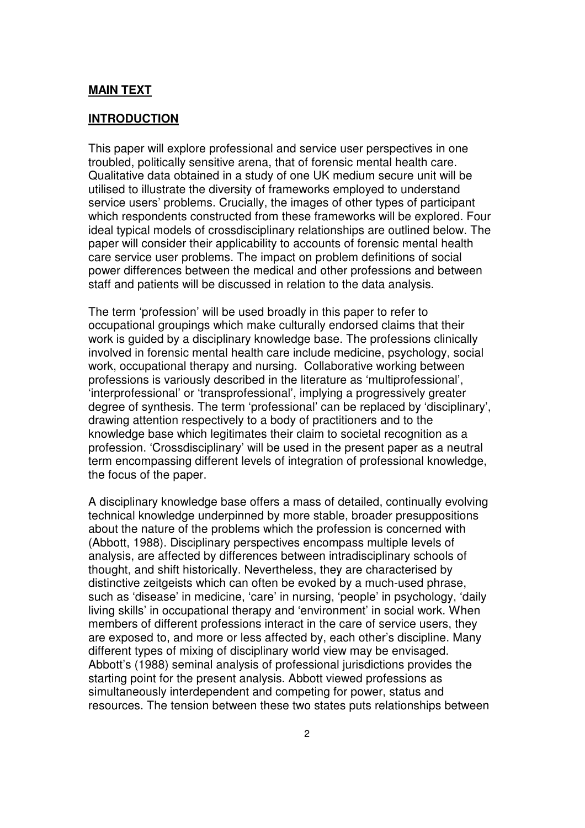### **MAIN TEXT**

#### **INTRODUCTION**

This paper will explore professional and service user perspectives in one troubled, politically sensitive arena, that of forensic mental health care. Qualitative data obtained in a study of one UK medium secure unit will be utilised to illustrate the diversity of frameworks employed to understand service users' problems. Crucially, the images of other types of participant which respondents constructed from these frameworks will be explored. Four ideal typical models of crossdisciplinary relationships are outlined below. The paper will consider their applicability to accounts of forensic mental health care service user problems. The impact on problem definitions of social power differences between the medical and other professions and between staff and patients will be discussed in relation to the data analysis.

The term 'profession' will be used broadly in this paper to refer to occupational groupings which make culturally endorsed claims that their work is quided by a disciplinary knowledge base. The professions clinically involved in forensic mental health care include medicine, psychology, social work, occupational therapy and nursing. Collaborative working between professions is variously described in the literature as 'multiprofessional', 'interprofessional' or 'transprofessional', implying a progressively greater degree of synthesis. The term 'professional' can be replaced by 'disciplinary', drawing attention respectively to a body of practitioners and to the knowledge base which legitimates their claim to societal recognition as a profession. 'Crossdisciplinary' will be used in the present paper as a neutral term encompassing different levels of integration of professional knowledge, the focus of the paper.

A disciplinary knowledge base offers a mass of detailed, continually evolving technical knowledge underpinned by more stable, broader presuppositions about the nature of the problems which the profession is concerned with (Abbott, 1988). Disciplinary perspectives encompass multiple levels of analysis, are affected by differences between intradisciplinary schools of thought, and shift historically. Nevertheless, they are characterised by distinctive zeitgeists which can often be evoked by a much-used phrase, such as 'disease' in medicine, 'care' in nursing, 'people' in psychology, 'daily living skills' in occupational therapy and 'environment' in social work. When members of different professions interact in the care of service users, they are exposed to, and more or less affected by, each other's discipline. Many different types of mixing of disciplinary world view may be envisaged. Abbott's (1988) seminal analysis of professional jurisdictions provides the starting point for the present analysis. Abbott viewed professions as simultaneously interdependent and competing for power, status and resources. The tension between these two states puts relationships between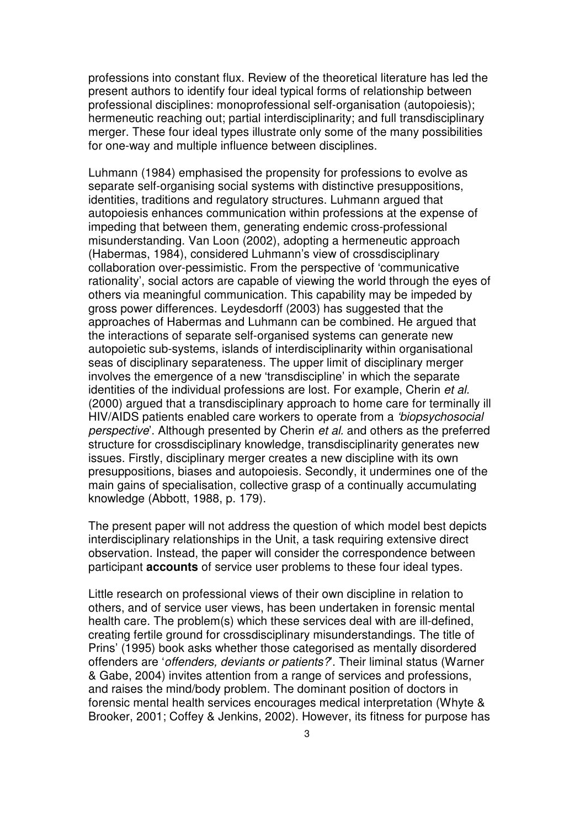professions into constant flux. Review of the theoretical literature has led the present authors to identify four ideal typical forms of relationship between professional disciplines: monoprofessional self-organisation (autopoiesis); hermeneutic reaching out; partial interdisciplinarity; and full transdisciplinary merger. These four ideal types illustrate only some of the many possibilities for one-way and multiple influence between disciplines.

Luhmann (1984) emphasised the propensity for professions to evolve as separate self-organising social systems with distinctive presuppositions, identities, traditions and regulatory structures. Luhmann argued that autopoiesis enhances communication within professions at the expense of impeding that between them, generating endemic cross-professional misunderstanding. Van Loon (2002), adopting a hermeneutic approach (Habermas, 1984), considered Luhmann's view of crossdisciplinary collaboration over-pessimistic. From the perspective of 'communicative rationality', social actors are capable of viewing the world through the eyes of others via meaningful communication. This capability may be impeded by gross power differences. Leydesdorff (2003) has suggested that the approaches of Habermas and Luhmann can be combined. He argued that the interactions of separate self-organised systems can generate new autopoietic sub-systems, islands of interdisciplinarity within organisational seas of disciplinary separateness. The upper limit of disciplinary merger involves the emergence of a new 'transdiscipline' in which the separate identities of the individual professions are lost. For example, Cherin et al. (2000) argued that a transdisciplinary approach to home care for terminally ill HIV/AIDS patients enabled care workers to operate from a 'biopsychosocial perspective'. Although presented by Cherin et al. and others as the preferred structure for crossdisciplinary knowledge, transdisciplinarity generates new issues. Firstly, disciplinary merger creates a new discipline with its own presuppositions, biases and autopoiesis. Secondly, it undermines one of the main gains of specialisation, collective grasp of a continually accumulating knowledge (Abbott, 1988, p. 179).

The present paper will not address the question of which model best depicts interdisciplinary relationships in the Unit, a task requiring extensive direct observation. Instead, the paper will consider the correspondence between participant **accounts** of service user problems to these four ideal types.

Little research on professional views of their own discipline in relation to others, and of service user views, has been undertaken in forensic mental health care. The problem(s) which these services deal with are ill-defined, creating fertile ground for crossdisciplinary misunderstandings. The title of Prins' (1995) book asks whether those categorised as mentally disordered offenders are 'offenders, deviants or patients?'. Their liminal status (Warner & Gabe, 2004) invites attention from a range of services and professions, and raises the mind/body problem. The dominant position of doctors in forensic mental health services encourages medical interpretation (Whyte & Brooker, 2001; Coffey & Jenkins, 2002). However, its fitness for purpose has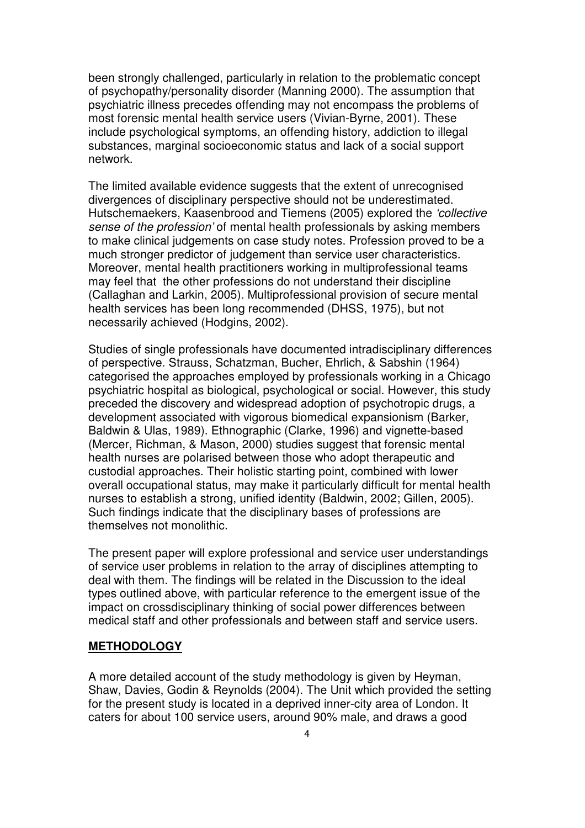been strongly challenged, particularly in relation to the problematic concept of psychopathy/personality disorder (Manning 2000). The assumption that psychiatric illness precedes offending may not encompass the problems of most forensic mental health service users (Vivian-Byrne, 2001). These include psychological symptoms, an offending history, addiction to illegal substances, marginal socioeconomic status and lack of a social support network.

The limited available evidence suggests that the extent of unrecognised divergences of disciplinary perspective should not be underestimated. Hutschemaekers, Kaasenbrood and Tiemens (2005) explored the 'collective sense of the profession' of mental health professionals by asking members to make clinical judgements on case study notes. Profession proved to be a much stronger predictor of judgement than service user characteristics. Moreover, mental health practitioners working in multiprofessional teams may feel that the other professions do not understand their discipline (Callaghan and Larkin, 2005). Multiprofessional provision of secure mental health services has been long recommended (DHSS, 1975), but not necessarily achieved (Hodgins, 2002).

Studies of single professionals have documented intradisciplinary differences of perspective. Strauss, Schatzman, Bucher, Ehrlich, & Sabshin (1964) categorised the approaches employed by professionals working in a Chicago psychiatric hospital as biological, psychological or social. However, this study preceded the discovery and widespread adoption of psychotropic drugs, a development associated with vigorous biomedical expansionism (Barker, Baldwin & Ulas, 1989). Ethnographic (Clarke, 1996) and vignette-based (Mercer, Richman, & Mason, 2000) studies suggest that forensic mental health nurses are polarised between those who adopt therapeutic and custodial approaches. Their holistic starting point, combined with lower overall occupational status, may make it particularly difficult for mental health nurses to establish a strong, unified identity (Baldwin, 2002; Gillen, 2005). Such findings indicate that the disciplinary bases of professions are themselves not monolithic.

The present paper will explore professional and service user understandings of service user problems in relation to the array of disciplines attempting to deal with them. The findings will be related in the Discussion to the ideal types outlined above, with particular reference to the emergent issue of the impact on crossdisciplinary thinking of social power differences between medical staff and other professionals and between staff and service users.

### **METHODOLOGY**

A more detailed account of the study methodology is given by Heyman, Shaw, Davies, Godin & Reynolds (2004). The Unit which provided the setting for the present study is located in a deprived inner-city area of London. It caters for about 100 service users, around 90% male, and draws a good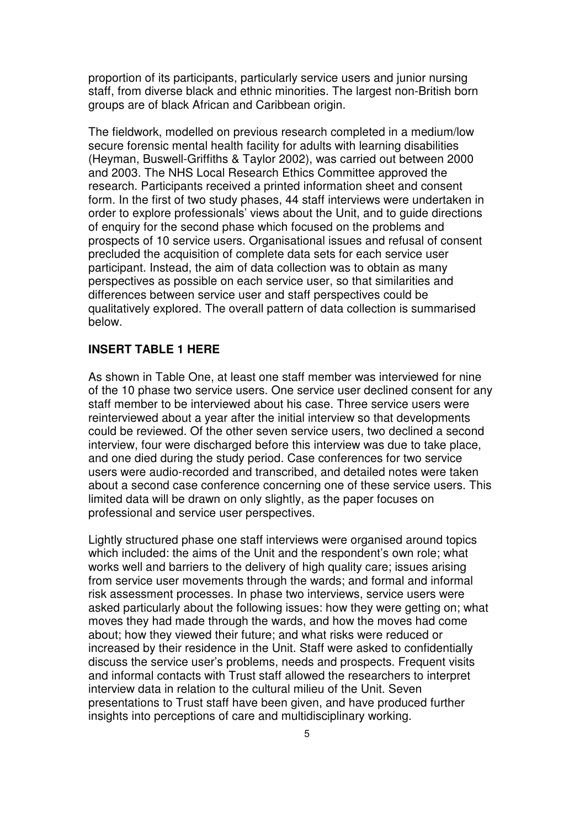proportion of its participants, particularly service users and junior nursing staff, from diverse black and ethnic minorities. The largest non-British born groups are of black African and Caribbean origin.

The fieldwork, modelled on previous research completed in a medium/low secure forensic mental health facility for adults with learning disabilities (Heyman, Buswell-Griffiths & Taylor 2002), was carried out between 2000 and 2003. The NHS Local Research Ethics Committee approved the research. Participants received a printed information sheet and consent form. In the first of two study phases, 44 staff interviews were undertaken in order to explore professionals' views about the Unit, and to guide directions of enquiry for the second phase which focused on the problems and prospects of 10 service users. Organisational issues and refusal of consent precluded the acquisition of complete data sets for each service user participant. Instead, the aim of data collection was to obtain as many perspectives as possible on each service user, so that similarities and differences between service user and staff perspectives could be qualitatively explored. The overall pattern of data collection is summarised below.

## **INSERT TABLE 1 HERE**

As shown in Table One, at least one staff member was interviewed for nine of the 10 phase two service users. One service user declined consent for any staff member to be interviewed about his case. Three service users were reinterviewed about a year after the initial interview so that developments could be reviewed. Of the other seven service users, two declined a second interview, four were discharged before this interview was due to take place, and one died during the study period. Case conferences for two service users were audio-recorded and transcribed, and detailed notes were taken about a second case conference concerning one of these service users. This limited data will be drawn on only slightly, as the paper focuses on professional and service user perspectives.

Lightly structured phase one staff interviews were organised around topics which included: the aims of the Unit and the respondent's own role; what works well and barriers to the delivery of high quality care; issues arising from service user movements through the wards; and formal and informal risk assessment processes. In phase two interviews, service users were asked particularly about the following issues: how they were getting on; what moves they had made through the wards, and how the moves had come about; how they viewed their future; and what risks were reduced or increased by their residence in the Unit. Staff were asked to confidentially discuss the service user's problems, needs and prospects. Frequent visits and informal contacts with Trust staff allowed the researchers to interpret interview data in relation to the cultural milieu of the Unit. Seven presentations to Trust staff have been given, and have produced further insights into perceptions of care and multidisciplinary working.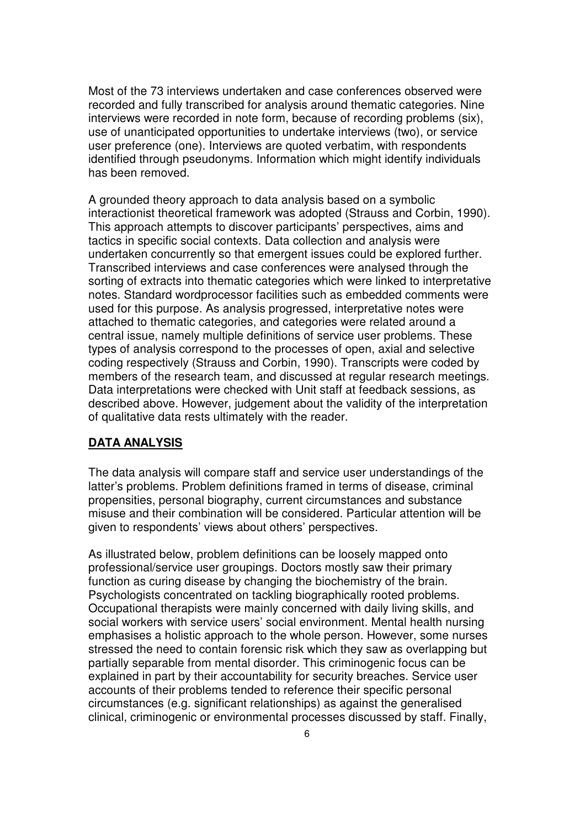Most of the 73 interviews undertaken and case conferences observed were recorded and fully transcribed for analysis around thematic categories. Nine interviews were recorded in note form, because of recording problems (six), use of unanticipated opportunities to undertake interviews (two), or service user preference (one). Interviews are quoted verbatim, with respondents identified through pseudonyms. Information which might identify individuals has been removed.

A grounded theory approach to data analysis based on a symbolic interactionist theoretical framework was adopted (Strauss and Corbin, 1990). This approach attempts to discover participants' perspectives, aims and tactics in specific social contexts. Data collection and analysis were undertaken concurrently so that emergent issues could be explored further. Transcribed interviews and case conferences were analysed through the sorting of extracts into thematic categories which were linked to interpretative notes. Standard wordprocessor facilities such as embedded comments were used for this purpose. As analysis progressed, interpretative notes were attached to thematic categories, and categories were related around a central issue, namely multiple definitions of service user problems. These types of analysis correspond to the processes of open, axial and selective coding respectively (Strauss and Corbin, 1990). Transcripts were coded by members of the research team, and discussed at regular research meetings. Data interpretations were checked with Unit staff at feedback sessions, as described above. However, judgement about the validity of the interpretation of qualitative data rests ultimately with the reader.

#### **DATA ANALYSIS**

The data analysis will compare staff and service user understandings of the latter's problems. Problem definitions framed in terms of disease, criminal propensities, personal biography, current circumstances and substance misuse and their combination will be considered. Particular attention will be given to respondents' views about others' perspectives.

As illustrated below, problem definitions can be loosely mapped onto professional/service user groupings. Doctors mostly saw their primary function as curing disease by changing the biochemistry of the brain. Psychologists concentrated on tackling biographically rooted problems. Occupational therapists were mainly concerned with daily living skills, and social workers with service users' social environment. Mental health nursing emphasises a holistic approach to the whole person. However, some nurses stressed the need to contain forensic risk which they saw as overlapping but partially separable from mental disorder. This criminogenic focus can be explained in part by their accountability for security breaches. Service user accounts of their problems tended to reference their specific personal circumstances (e.g. significant relationships) as against the generalised clinical, criminogenic or environmental processes discussed by staff. Finally,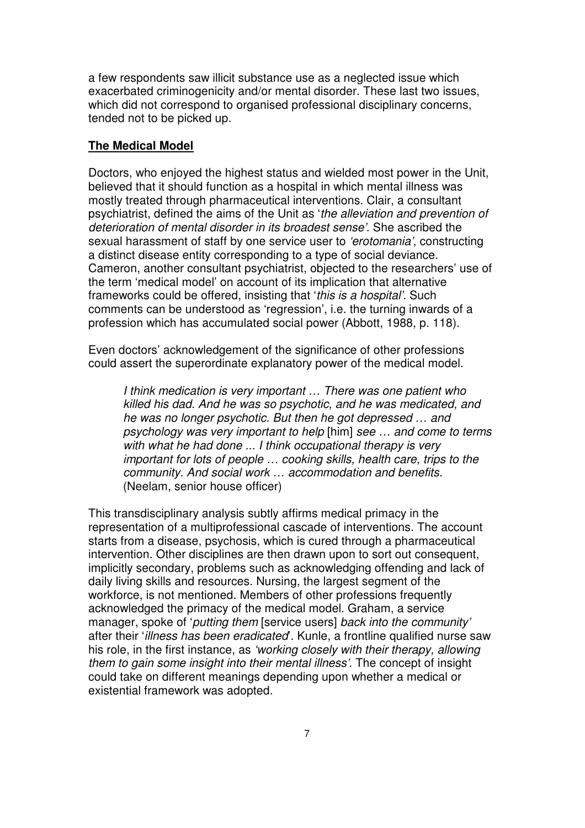a few respondents saw illicit substance use as a neglected issue which exacerbated criminogenicity and/or mental disorder. These last two issues, which did not correspond to organised professional disciplinary concerns, tended not to be picked up.

### **The Medical Model**

Doctors, who enjoyed the highest status and wielded most power in the Unit, believed that it should function as a hospital in which mental illness was mostly treated through pharmaceutical interventions. Clair, a consultant psychiatrist, defined the aims of the Unit as 'the alleviation and prevention of deterioration of mental disorder in its broadest sense'. She ascribed the sexual harassment of staff by one service user to 'erotomania', constructing a distinct disease entity corresponding to a type of social deviance. Cameron, another consultant psychiatrist, objected to the researchers' use of the term 'medical model' on account of its implication that alternative frameworks could be offered, insisting that 'this is a hospital'. Such comments can be understood as 'regression', i.e. the turning inwards of a profession which has accumulated social power (Abbott, 1988, p. 118).

Even doctors' acknowledgement of the significance of other professions could assert the superordinate explanatory power of the medical model.

I think medication is very important … There was one patient who killed his dad. And he was so psychotic, and he was medicated, and he was no longer psychotic. But then he got depressed … and psychology was very important to help [him] see … and come to terms with what he had done ... I think occupational therapy is very important for lots of people … cooking skills, health care, trips to the community. And social work … accommodation and benefits. (Neelam, senior house officer)

This transdisciplinary analysis subtly affirms medical primacy in the representation of a multiprofessional cascade of interventions. The account starts from a disease, psychosis, which is cured through a pharmaceutical intervention. Other disciplines are then drawn upon to sort out consequent, implicitly secondary, problems such as acknowledging offending and lack of daily living skills and resources. Nursing, the largest segment of the workforce, is not mentioned. Members of other professions frequently acknowledged the primacy of the medical model. Graham, a service manager, spoke of 'putting them [service users] back into the community' after their 'illness has been eradicated'. Kunle, a frontline qualified nurse saw his role, in the first instance, as 'working closely with their therapy, allowing them to gain some insight into their mental illness'. The concept of insight could take on different meanings depending upon whether a medical or existential framework was adopted.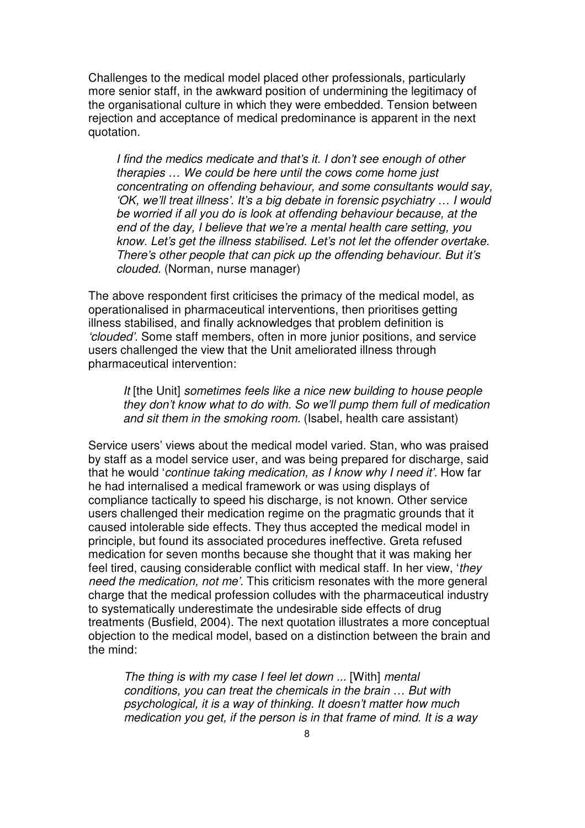Challenges to the medical model placed other professionals, particularly more senior staff, in the awkward position of undermining the legitimacy of the organisational culture in which they were embedded. Tension between rejection and acceptance of medical predominance is apparent in the next quotation.

I find the medics medicate and that's it. I don't see enough of other therapies … We could be here until the cows come home just concentrating on offending behaviour, and some consultants would say, 'OK, we'll treat illness'. It's a big debate in forensic psychiatry … I would be worried if all you do is look at offending behaviour because, at the end of the day, I believe that we're a mental health care setting, you know. Let's get the illness stabilised. Let's not let the offender overtake. There's other people that can pick up the offending behaviour. But it's clouded. (Norman, nurse manager)

The above respondent first criticises the primacy of the medical model, as operationalised in pharmaceutical interventions, then prioritises getting illness stabilised, and finally acknowledges that problem definition is 'clouded'. Some staff members, often in more junior positions, and service users challenged the view that the Unit ameliorated illness through pharmaceutical intervention:

It [the Unit] sometimes feels like a nice new building to house people they don't know what to do with. So we'll pump them full of medication and sit them in the smoking room. (Isabel, health care assistant)

Service users' views about the medical model varied. Stan, who was praised by staff as a model service user, and was being prepared for discharge, said that he would 'continue taking medication, as I know why I need it'. How far he had internalised a medical framework or was using displays of compliance tactically to speed his discharge, is not known. Other service users challenged their medication regime on the pragmatic grounds that it caused intolerable side effects. They thus accepted the medical model in principle, but found its associated procedures ineffective. Greta refused medication for seven months because she thought that it was making her feel tired, causing considerable conflict with medical staff. In her view, 'they need the medication, not me'. This criticism resonates with the more general charge that the medical profession colludes with the pharmaceutical industry to systematically underestimate the undesirable side effects of drug treatments (Busfield, 2004). The next quotation illustrates a more conceptual objection to the medical model, based on a distinction between the brain and the mind:

The thing is with my case I feel let down ... [With] mental conditions, you can treat the chemicals in the brain … But with psychological, it is a way of thinking. It doesn't matter how much medication you get, if the person is in that frame of mind. It is a way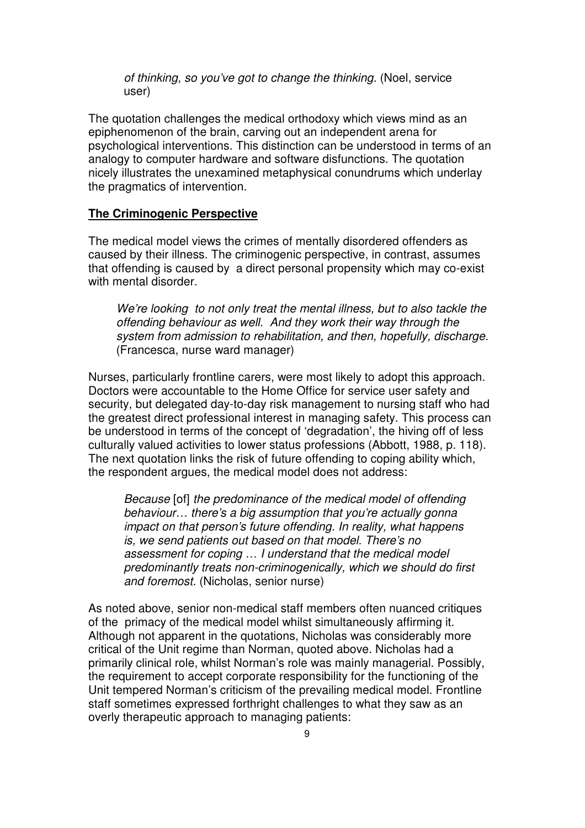of thinking, so you've got to change the thinking. (Noel, service user)

The quotation challenges the medical orthodoxy which views mind as an epiphenomenon of the brain, carving out an independent arena for psychological interventions. This distinction can be understood in terms of an analogy to computer hardware and software disfunctions. The quotation nicely illustrates the unexamined metaphysical conundrums which underlay the pragmatics of intervention.

#### **The Criminogenic Perspective**

The medical model views the crimes of mentally disordered offenders as caused by their illness. The criminogenic perspective, in contrast, assumes that offending is caused by a direct personal propensity which may co-exist with mental disorder.

We're looking to not only treat the mental illness, but to also tackle the offending behaviour as well. And they work their way through the system from admission to rehabilitation, and then, hopefully, discharge. (Francesca, nurse ward manager)

Nurses, particularly frontline carers, were most likely to adopt this approach. Doctors were accountable to the Home Office for service user safety and security, but delegated day-to-day risk management to nursing staff who had the greatest direct professional interest in managing safety. This process can be understood in terms of the concept of 'degradation', the hiving off of less culturally valued activities to lower status professions (Abbott, 1988, p. 118). The next quotation links the risk of future offending to coping ability which, the respondent argues, the medical model does not address:

Because [of] the predominance of the medical model of offending behaviour… there's a big assumption that you're actually gonna impact on that person's future offending. In reality, what happens is, we send patients out based on that model. There's no assessment for coping … I understand that the medical model predominantly treats non-criminogenically, which we should do first and foremost. (Nicholas, senior nurse)

As noted above, senior non-medical staff members often nuanced critiques of the primacy of the medical model whilst simultaneously affirming it. Although not apparent in the quotations, Nicholas was considerably more critical of the Unit regime than Norman, quoted above. Nicholas had a primarily clinical role, whilst Norman's role was mainly managerial. Possibly, the requirement to accept corporate responsibility for the functioning of the Unit tempered Norman's criticism of the prevailing medical model. Frontline staff sometimes expressed forthright challenges to what they saw as an overly therapeutic approach to managing patients: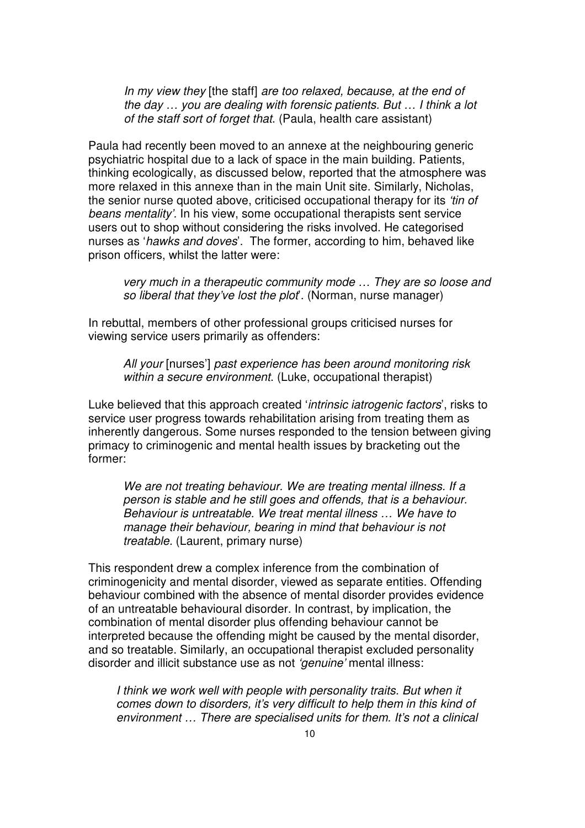In my view they [the staff] are too relaxed, because, at the end of the day … you are dealing with forensic patients. But … I think a lot of the staff sort of forget that. (Paula, health care assistant)

Paula had recently been moved to an annexe at the neighbouring generic psychiatric hospital due to a lack of space in the main building. Patients, thinking ecologically, as discussed below, reported that the atmosphere was more relaxed in this annexe than in the main Unit site. Similarly, Nicholas, the senior nurse quoted above, criticised occupational therapy for its 'tin of beans mentality'. In his view, some occupational therapists sent service users out to shop without considering the risks involved. He categorised nurses as 'hawks and doves'. The former, according to him, behaved like prison officers, whilst the latter were:

very much in a therapeutic community mode … They are so loose and so liberal that they've lost the plot'. (Norman, nurse manager)

In rebuttal, members of other professional groups criticised nurses for viewing service users primarily as offenders:

All your [nurses'] past experience has been around monitoring risk within a secure environment. (Luke, occupational therapist)

Luke believed that this approach created 'intrinsic iatrogenic factors', risks to service user progress towards rehabilitation arising from treating them as inherently dangerous. Some nurses responded to the tension between giving primacy to criminogenic and mental health issues by bracketing out the former:

We are not treating behaviour. We are treating mental illness. If a person is stable and he still goes and offends, that is a behaviour. Behaviour is untreatable. We treat mental illness … We have to manage their behaviour, bearing in mind that behaviour is not treatable. (Laurent, primary nurse)

This respondent drew a complex inference from the combination of criminogenicity and mental disorder, viewed as separate entities. Offending behaviour combined with the absence of mental disorder provides evidence of an untreatable behavioural disorder. In contrast, by implication, the combination of mental disorder plus offending behaviour cannot be interpreted because the offending might be caused by the mental disorder, and so treatable. Similarly, an occupational therapist excluded personality disorder and illicit substance use as not 'genuine' mental illness:

I think we work well with people with personality traits. But when it comes down to disorders, it's very difficult to help them in this kind of environment … There are specialised units for them. It's not a clinical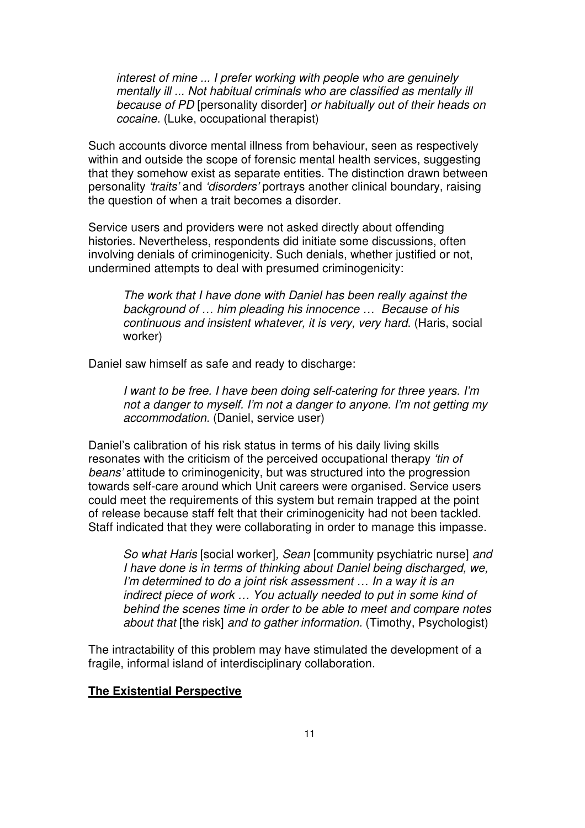interest of mine ... I prefer working with people who are genuinely mentally ill ... Not habitual criminals who are classified as mentally ill because of PD [personality disorder] or habitually out of their heads on cocaine. (Luke, occupational therapist)

Such accounts divorce mental illness from behaviour, seen as respectively within and outside the scope of forensic mental health services, suggesting that they somehow exist as separate entities. The distinction drawn between personality 'traits' and 'disorders' portrays another clinical boundary, raising the question of when a trait becomes a disorder.

Service users and providers were not asked directly about offending histories. Nevertheless, respondents did initiate some discussions, often involving denials of criminogenicity. Such denials, whether justified or not, undermined attempts to deal with presumed criminogenicity:

The work that I have done with Daniel has been really against the background of … him pleading his innocence … Because of his continuous and insistent whatever, it is very, very hard. (Haris, social worker)

Daniel saw himself as safe and ready to discharge:

I want to be free. I have been doing self-catering for three years. I'm not a danger to myself. I'm not a danger to anyone. I'm not getting my accommodation. (Daniel, service user)

Daniel's calibration of his risk status in terms of his daily living skills resonates with the criticism of the perceived occupational therapy 'tin of beans' attitude to criminogenicity, but was structured into the progression towards self-care around which Unit careers were organised. Service users could meet the requirements of this system but remain trapped at the point of release because staff felt that their criminogenicity had not been tackled. Staff indicated that they were collaborating in order to manage this impasse.

So what Haris [social worker], Sean [community psychiatric nurse] and I have done is in terms of thinking about Daniel being discharged, we, I'm determined to do a joint risk assessment ... In a way it is an indirect piece of work … You actually needed to put in some kind of behind the scenes time in order to be able to meet and compare notes about that [the risk] and to gather information. (Timothy, Psychologist)

The intractability of this problem may have stimulated the development of a fragile, informal island of interdisciplinary collaboration.

#### **The Existential Perspective**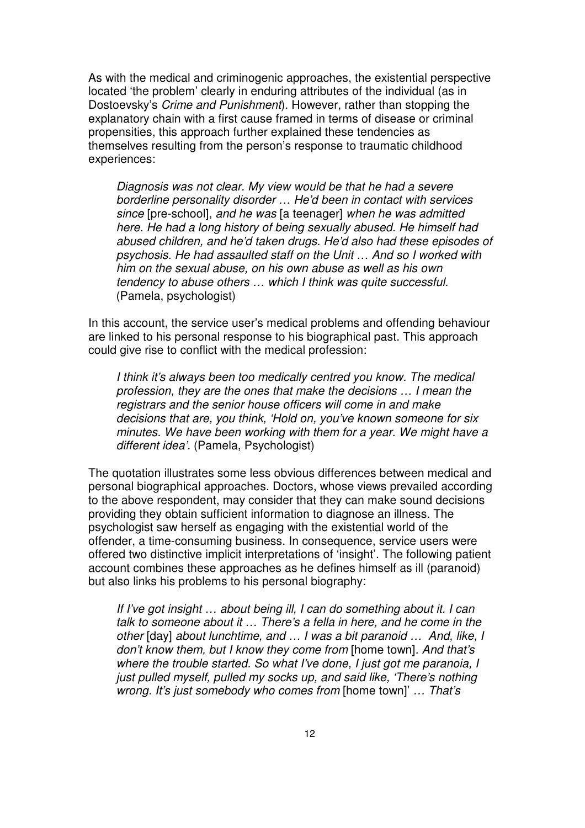As with the medical and criminogenic approaches, the existential perspective located 'the problem' clearly in enduring attributes of the individual (as in Dostoevsky's Crime and Punishment). However, rather than stopping the explanatory chain with a first cause framed in terms of disease or criminal propensities, this approach further explained these tendencies as themselves resulting from the person's response to traumatic childhood experiences:

Diagnosis was not clear. My view would be that he had a severe borderline personality disorder … He'd been in contact with services since [pre-school], and he was [a teenager] when he was admitted here. He had a long history of being sexually abused. He himself had abused children, and he'd taken drugs. He'd also had these episodes of psychosis. He had assaulted staff on the Unit … And so I worked with him on the sexual abuse, on his own abuse as well as his own tendency to abuse others … which I think was quite successful. (Pamela, psychologist)

In this account, the service user's medical problems and offending behaviour are linked to his personal response to his biographical past. This approach could give rise to conflict with the medical profession:

I think it's always been too medically centred you know. The medical profession, they are the ones that make the decisions … I mean the registrars and the senior house officers will come in and make decisions that are, you think, 'Hold on, you've known someone for six minutes. We have been working with them for a year. We might have a different idea'. (Pamela, Psychologist)

The quotation illustrates some less obvious differences between medical and personal biographical approaches. Doctors, whose views prevailed according to the above respondent, may consider that they can make sound decisions providing they obtain sufficient information to diagnose an illness. The psychologist saw herself as engaging with the existential world of the offender, a time-consuming business. In consequence, service users were offered two distinctive implicit interpretations of 'insight'. The following patient account combines these approaches as he defines himself as ill (paranoid) but also links his problems to his personal biography:

If I've got insight … about being ill, I can do something about it. I can talk to someone about it … There's a fella in here, and he come in the other [day] about lunchtime, and … I was a bit paranoid … And, like, I don't know them, but I know they come from [home town]. And that's where the trouble started. So what I've done, I just got me paranoia, I just pulled myself, pulled my socks up, and said like, 'There's nothing wrong. It's just somebody who comes from [home town]' ... That's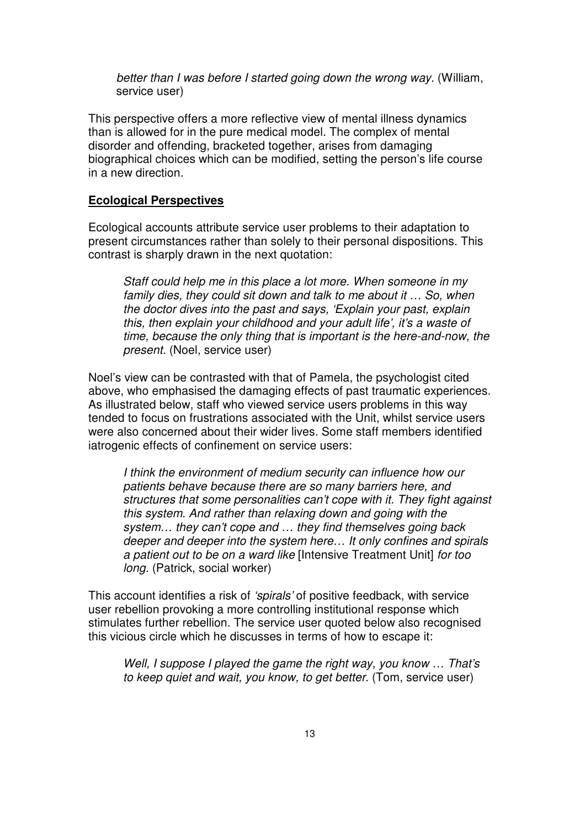better than I was before I started going down the wrong way. (William, service user)

This perspective offers a more reflective view of mental illness dynamics than is allowed for in the pure medical model. The complex of mental disorder and offending, bracketed together, arises from damaging biographical choices which can be modified, setting the person's life course in a new direction.

## **Ecological Perspectives**

Ecological accounts attribute service user problems to their adaptation to present circumstances rather than solely to their personal dispositions. This contrast is sharply drawn in the next quotation:

Staff could help me in this place a lot more. When someone in my family dies, they could sit down and talk to me about it … So, when the doctor dives into the past and says, 'Explain your past, explain this, then explain your childhood and your adult life', it's a waste of time, because the only thing that is important is the here-and-now, the present. (Noel, service user)

Noel's view can be contrasted with that of Pamela, the psychologist cited above, who emphasised the damaging effects of past traumatic experiences. As illustrated below, staff who viewed service users problems in this way tended to focus on frustrations associated with the Unit, whilst service users were also concerned about their wider lives. Some staff members identified iatrogenic effects of confinement on service users:

I think the environment of medium security can influence how our patients behave because there are so many barriers here, and structures that some personalities can't cope with it. They fight against this system. And rather than relaxing down and going with the system… they can't cope and … they find themselves going back deeper and deeper into the system here… It only confines and spirals a patient out to be on a ward like [Intensive Treatment Unit] for too long. (Patrick, social worker)

This account identifies a risk of 'spirals' of positive feedback, with service user rebellion provoking a more controlling institutional response which stimulates further rebellion. The service user quoted below also recognised this vicious circle which he discusses in terms of how to escape it:

Well, I suppose I played the game the right way, you know ... That's to keep quiet and wait, you know, to get better. (Tom, service user)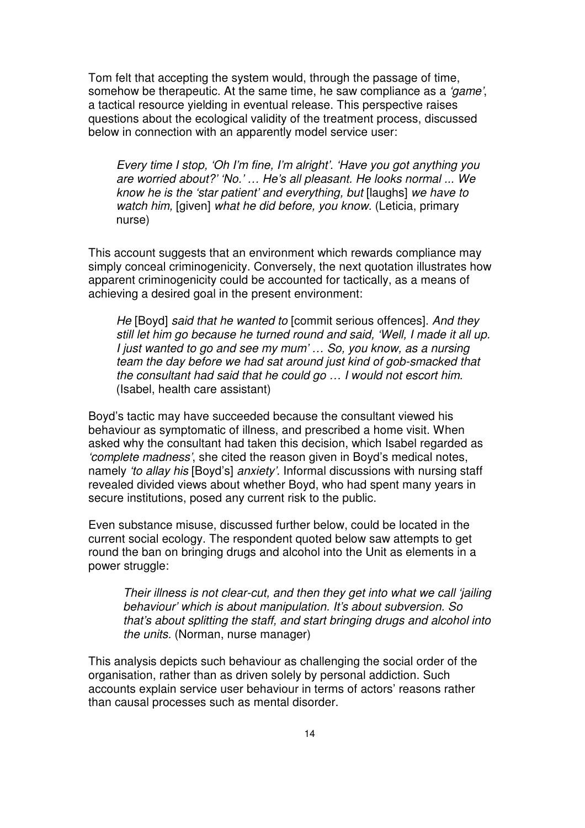Tom felt that accepting the system would, through the passage of time, somehow be therapeutic. At the same time, he saw compliance as a 'game', a tactical resource yielding in eventual release. This perspective raises questions about the ecological validity of the treatment process, discussed below in connection with an apparently model service user:

Every time I stop, 'Oh I'm fine, I'm alright'. 'Have you got anything you are worried about?' 'No.' … He's all pleasant. He looks normal ... We know he is the 'star patient' and everything, but [laughs] we have to watch him, [given] what he did before, you know. (Leticia, primary nurse)

This account suggests that an environment which rewards compliance may simply conceal criminogenicity. Conversely, the next quotation illustrates how apparent criminogenicity could be accounted for tactically, as a means of achieving a desired goal in the present environment:

He [Boyd] said that he wanted to [commit serious offences]. And they still let him go because he turned round and said, 'Well, I made it all up. I just wanted to go and see my mum' ... So, you know, as a nursing team the day before we had sat around just kind of gob-smacked that the consultant had said that he could go … I would not escort him. (Isabel, health care assistant)

Boyd's tactic may have succeeded because the consultant viewed his behaviour as symptomatic of illness, and prescribed a home visit. When asked why the consultant had taken this decision, which Isabel regarded as 'complete madness', she cited the reason given in Boyd's medical notes, namely 'to allay his [Boyd's] anxiety'. Informal discussions with nursing staff revealed divided views about whether Boyd, who had spent many years in secure institutions, posed any current risk to the public.

Even substance misuse, discussed further below, could be located in the current social ecology. The respondent quoted below saw attempts to get round the ban on bringing drugs and alcohol into the Unit as elements in a power struggle:

Their illness is not clear-cut, and then they get into what we call 'jailing behaviour' which is about manipulation. It's about subversion. So that's about splitting the staff, and start bringing drugs and alcohol into the units. (Norman, nurse manager)

This analysis depicts such behaviour as challenging the social order of the organisation, rather than as driven solely by personal addiction. Such accounts explain service user behaviour in terms of actors' reasons rather than causal processes such as mental disorder.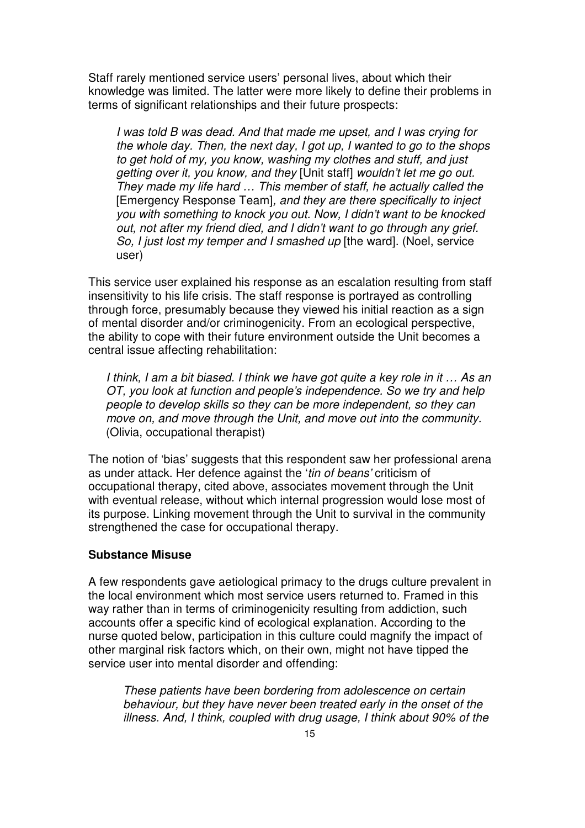Staff rarely mentioned service users' personal lives, about which their knowledge was limited. The latter were more likely to define their problems in terms of significant relationships and their future prospects:

I was told B was dead. And that made me upset, and I was crying for the whole day. Then, the next day, I got up, I wanted to go to the shops to get hold of my, you know, washing my clothes and stuff, and just getting over it, you know, and they [Unit staff] wouldn't let me go out. They made my life hard … This member of staff, he actually called the [Emergency Response Team], and they are there specifically to inject you with something to knock you out. Now, I didn't want to be knocked out, not after my friend died, and I didn't want to go through any grief. So, I just lost my temper and I smashed up [the ward]. (Noel, service user)

This service user explained his response as an escalation resulting from staff insensitivity to his life crisis. The staff response is portrayed as controlling through force, presumably because they viewed his initial reaction as a sign of mental disorder and/or criminogenicity. From an ecological perspective, the ability to cope with their future environment outside the Unit becomes a central issue affecting rehabilitation:

I think, I am a bit biased. I think we have got quite a key role in it … As an OT, you look at function and people's independence. So we try and help people to develop skills so they can be more independent, so they can move on, and move through the Unit, and move out into the community. (Olivia, occupational therapist)

The notion of 'bias' suggests that this respondent saw her professional arena as under attack. Her defence against the 'tin of beans' criticism of occupational therapy, cited above, associates movement through the Unit with eventual release, without which internal progression would lose most of its purpose. Linking movement through the Unit to survival in the community strengthened the case for occupational therapy.

### **Substance Misuse**

A few respondents gave aetiological primacy to the drugs culture prevalent in the local environment which most service users returned to. Framed in this way rather than in terms of criminogenicity resulting from addiction, such accounts offer a specific kind of ecological explanation. According to the nurse quoted below, participation in this culture could magnify the impact of other marginal risk factors which, on their own, might not have tipped the service user into mental disorder and offending:

These patients have been bordering from adolescence on certain behaviour, but they have never been treated early in the onset of the illness. And, I think, coupled with drug usage, I think about 90% of the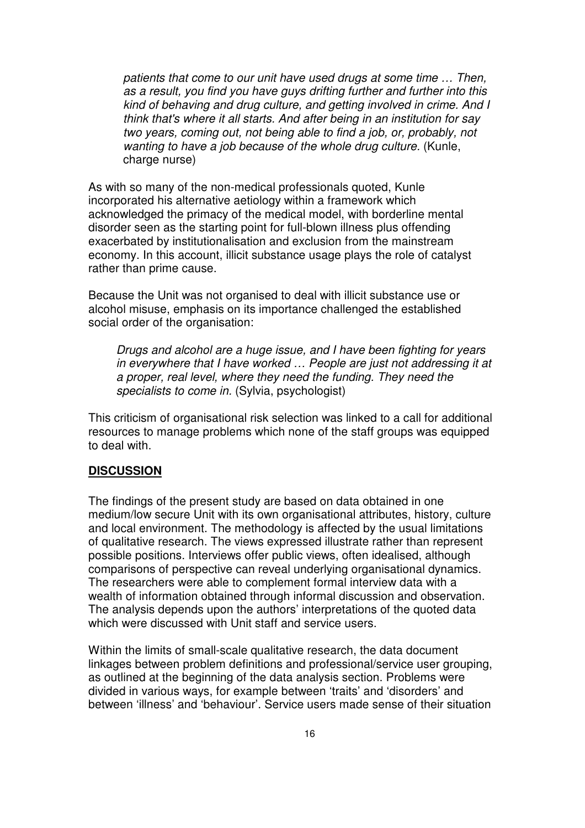patients that come to our unit have used drugs at some time … Then, as a result, you find you have guys drifting further and further into this kind of behaving and drug culture, and getting involved in crime. And I think that's where it all starts. And after being in an institution for say two years, coming out, not being able to find a job, or, probably, not wanting to have a job because of the whole drug culture. (Kunle, charge nurse)

As with so many of the non-medical professionals quoted, Kunle incorporated his alternative aetiology within a framework which acknowledged the primacy of the medical model, with borderline mental disorder seen as the starting point for full-blown illness plus offending exacerbated by institutionalisation and exclusion from the mainstream economy. In this account, illicit substance usage plays the role of catalyst rather than prime cause.

Because the Unit was not organised to deal with illicit substance use or alcohol misuse, emphasis on its importance challenged the established social order of the organisation:

Drugs and alcohol are a huge issue, and I have been fighting for years in everywhere that I have worked … People are just not addressing it at a proper, real level, where they need the funding. They need the specialists to come in. (Sylvia, psychologist)

This criticism of organisational risk selection was linked to a call for additional resources to manage problems which none of the staff groups was equipped to deal with.

## **DISCUSSION**

The findings of the present study are based on data obtained in one medium/low secure Unit with its own organisational attributes, history, culture and local environment. The methodology is affected by the usual limitations of qualitative research. The views expressed illustrate rather than represent possible positions. Interviews offer public views, often idealised, although comparisons of perspective can reveal underlying organisational dynamics. The researchers were able to complement formal interview data with a wealth of information obtained through informal discussion and observation. The analysis depends upon the authors' interpretations of the quoted data which were discussed with Unit staff and service users.

Within the limits of small-scale qualitative research, the data document linkages between problem definitions and professional/service user grouping, as outlined at the beginning of the data analysis section. Problems were divided in various ways, for example between 'traits' and 'disorders' and between 'illness' and 'behaviour'. Service users made sense of their situation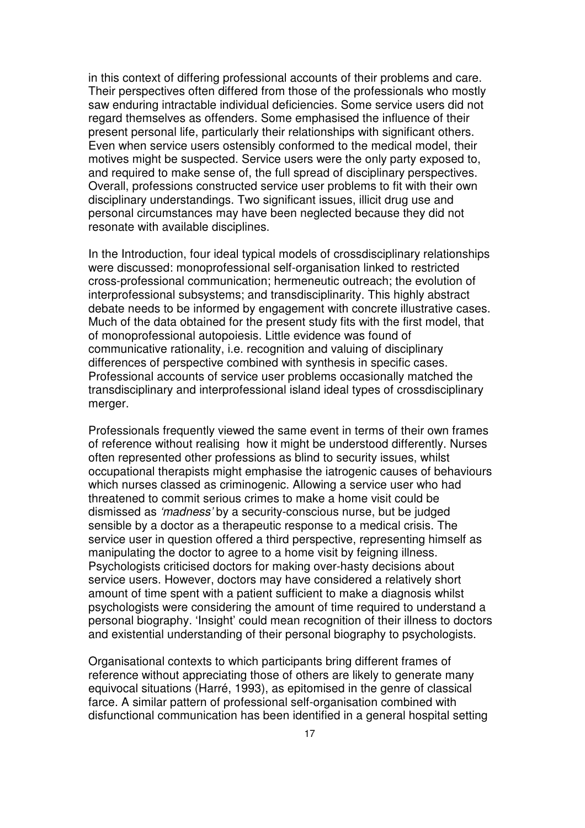in this context of differing professional accounts of their problems and care. Their perspectives often differed from those of the professionals who mostly saw enduring intractable individual deficiencies. Some service users did not regard themselves as offenders. Some emphasised the influence of their present personal life, particularly their relationships with significant others. Even when service users ostensibly conformed to the medical model, their motives might be suspected. Service users were the only party exposed to, and required to make sense of, the full spread of disciplinary perspectives. Overall, professions constructed service user problems to fit with their own disciplinary understandings. Two significant issues, illicit drug use and personal circumstances may have been neglected because they did not resonate with available disciplines.

In the Introduction, four ideal typical models of crossdisciplinary relationships were discussed: monoprofessional self-organisation linked to restricted cross-professional communication; hermeneutic outreach; the evolution of interprofessional subsystems; and transdisciplinarity. This highly abstract debate needs to be informed by engagement with concrete illustrative cases. Much of the data obtained for the present study fits with the first model, that of monoprofessional autopoiesis. Little evidence was found of communicative rationality, i.e. recognition and valuing of disciplinary differences of perspective combined with synthesis in specific cases. Professional accounts of service user problems occasionally matched the transdisciplinary and interprofessional island ideal types of crossdisciplinary merger.

Professionals frequently viewed the same event in terms of their own frames of reference without realising how it might be understood differently. Nurses often represented other professions as blind to security issues, whilst occupational therapists might emphasise the iatrogenic causes of behaviours which nurses classed as criminogenic. Allowing a service user who had threatened to commit serious crimes to make a home visit could be dismissed as 'madness' by a security-conscious nurse, but be judged sensible by a doctor as a therapeutic response to a medical crisis. The service user in question offered a third perspective, representing himself as manipulating the doctor to agree to a home visit by feigning illness. Psychologists criticised doctors for making over-hasty decisions about service users. However, doctors may have considered a relatively short amount of time spent with a patient sufficient to make a diagnosis whilst psychologists were considering the amount of time required to understand a personal biography. 'Insight' could mean recognition of their illness to doctors and existential understanding of their personal biography to psychologists.

Organisational contexts to which participants bring different frames of reference without appreciating those of others are likely to generate many equivocal situations (Harré, 1993), as epitomised in the genre of classical farce. A similar pattern of professional self-organisation combined with disfunctional communication has been identified in a general hospital setting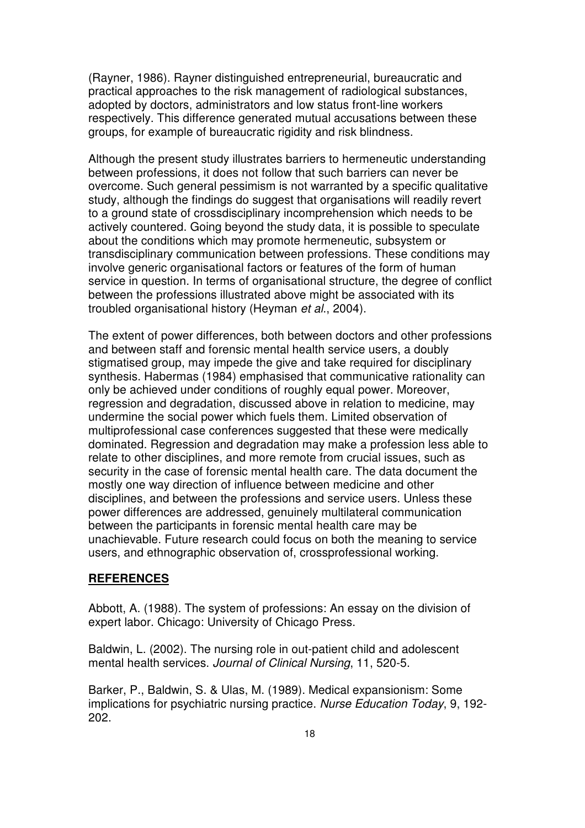(Rayner, 1986). Rayner distinguished entrepreneurial, bureaucratic and practical approaches to the risk management of radiological substances, adopted by doctors, administrators and low status front-line workers respectively. This difference generated mutual accusations between these groups, for example of bureaucratic rigidity and risk blindness.

Although the present study illustrates barriers to hermeneutic understanding between professions, it does not follow that such barriers can never be overcome. Such general pessimism is not warranted by a specific qualitative study, although the findings do suggest that organisations will readily revert to a ground state of crossdisciplinary incomprehension which needs to be actively countered. Going beyond the study data, it is possible to speculate about the conditions which may promote hermeneutic, subsystem or transdisciplinary communication between professions. These conditions may involve generic organisational factors or features of the form of human service in question. In terms of organisational structure, the degree of conflict between the professions illustrated above might be associated with its troubled organisational history (Heyman et al., 2004).

The extent of power differences, both between doctors and other professions and between staff and forensic mental health service users, a doubly stigmatised group, may impede the give and take required for disciplinary synthesis. Habermas (1984) emphasised that communicative rationality can only be achieved under conditions of roughly equal power. Moreover, regression and degradation, discussed above in relation to medicine, may undermine the social power which fuels them. Limited observation of multiprofessional case conferences suggested that these were medically dominated. Regression and degradation may make a profession less able to relate to other disciplines, and more remote from crucial issues, such as security in the case of forensic mental health care. The data document the mostly one way direction of influence between medicine and other disciplines, and between the professions and service users. Unless these power differences are addressed, genuinely multilateral communication between the participants in forensic mental health care may be unachievable. Future research could focus on both the meaning to service users, and ethnographic observation of, crossprofessional working.

#### **REFERENCES**

Abbott, A. (1988). The system of professions: An essay on the division of expert labor. Chicago: University of Chicago Press.

Baldwin, L. (2002). The nursing role in out-patient child and adolescent mental health services. Journal of Clinical Nursing, 11, 520-5.

Barker, P., Baldwin, S. & Ulas, M. (1989). Medical expansionism: Some implications for psychiatric nursing practice. Nurse Education Today, 9, 192- 202.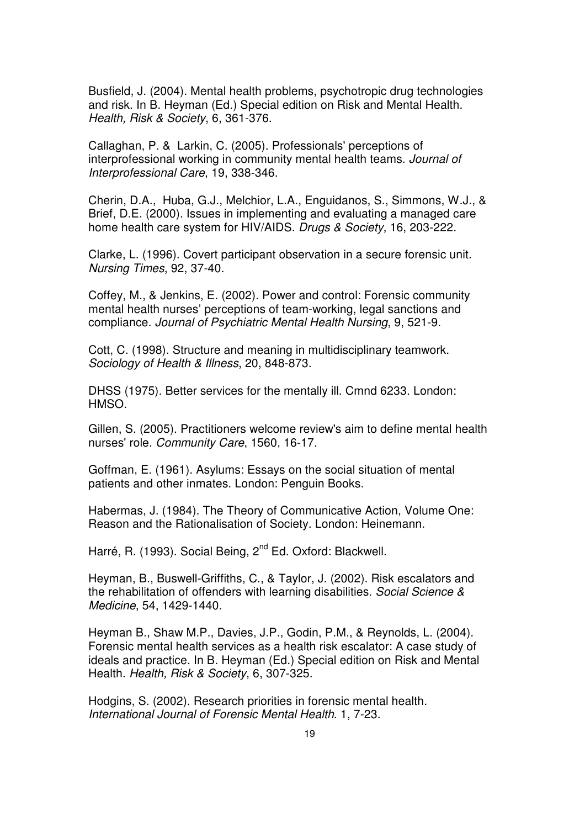Busfield, J. (2004). Mental health problems, psychotropic drug technologies and risk. In B. Heyman (Ed.) Special edition on Risk and Mental Health. Health, Risk & Society, 6, 361-376.

Callaghan, P. & Larkin, C. (2005). Professionals' perceptions of interprofessional working in community mental health teams. Journal of Interprofessional Care, 19, 338-346.

Cherin, D.A., Huba, G.J., Melchior, L.A., Enguidanos, S., Simmons, W.J., & Brief, D.E. (2000). Issues in implementing and evaluating a managed care home health care system for HIV/AIDS. Drugs & Society, 16, 203-222.

Clarke, L. (1996). Covert participant observation in a secure forensic unit. Nursing Times, 92, 37-40.

Coffey, M., & Jenkins, E. (2002). Power and control: Forensic community mental health nurses' perceptions of team-working, legal sanctions and compliance. Journal of Psychiatric Mental Health Nursing, 9, 521-9.

Cott, C. (1998). Structure and meaning in multidisciplinary teamwork. Sociology of Health & Illness, 20, 848-873.

DHSS (1975). Better services for the mentally ill. Cmnd 6233. London: HMSO.

Gillen, S. (2005). Practitioners welcome review's aim to define mental health nurses' role. Community Care, 1560, 16-17.

Goffman, E. (1961). Asylums: Essays on the social situation of mental patients and other inmates. London: Penguin Books.

Habermas, J. (1984). The Theory of Communicative Action, Volume One: Reason and the Rationalisation of Society. London: Heinemann.

Harré, R. (1993). Social Being, 2<sup>nd</sup> Ed. Oxford: Blackwell.

Heyman, B., Buswell-Griffiths, C., & Taylor, J. (2002). Risk escalators and the rehabilitation of offenders with learning disabilities. Social Science & Medicine, 54, 1429-1440.

Heyman B., Shaw M.P., Davies, J.P., Godin, P.M., & Reynolds, L. (2004). Forensic mental health services as a health risk escalator: A case study of ideals and practice. In B. Heyman (Ed.) Special edition on Risk and Mental Health. Health, Risk & Society, 6, 307-325.

Hodgins, S. (2002). Research priorities in forensic mental health. International Journal of Forensic Mental Health. 1, 7-23.